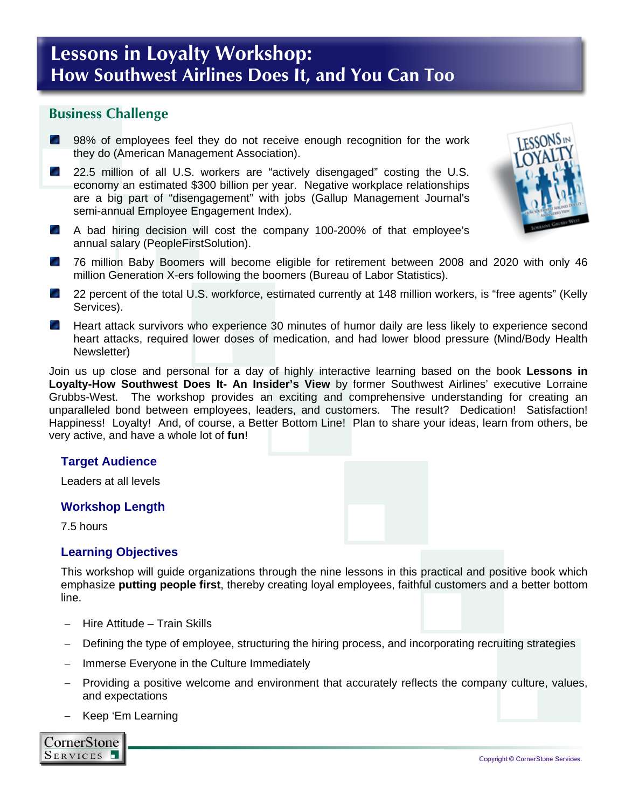# **Lessons in Loyalty Workshop: How Southwest Airlines Does It, and You Can Too**

### **Business Challenge**

- **89%** of employees feel they do not receive enough recognition for the work they do (American Management Association).
- 22.5 million of all U.S. workers are "actively disengaged" costing the U.S. economy an estimated \$300 billion per year. Negative workplace relationships are a big part of "disengagement" with jobs (Gallup Management Journal's semi-annual Employee Engagement Index).
- A bad hiring decision will cost the company 100-200% of that employee's annual salary (PeopleFirstSolution).
- 76 million Baby Boomers will become eligible for retirement between 2008 and 2020 with only 46 **College** million Generation X-ers following the boomers (Bureau of Labor Statistics).
- 22 percent of the total U.S. workforce, estimated currently at 148 million workers, is "free agents" (Kelly Services).
- **College** Heart attack survivors who experience 30 minutes of humor daily are less likely to experience second heart attacks, required lower doses of medication, and had lower blood pressure (Mind/Body Health Newsletter)

Join us up close and personal for a day of highly interactive learning based on the book **Lessons in Loyalty-How Southwest Does It- An Insider's View** by former Southwest Airlines' executive Lorraine Grubbs-West. The workshop provides an exciting and comprehensive understanding for creating an unparalleled bond between employees, leaders, and customers. The result? Dedication! Satisfaction! Happiness! Loyalty! And, of course, a Better Bottom Line! Plan to share your ideas, learn from others, be very active, and have a whole lot of **fun**!

#### **Target Audience**

Leaders at all levels

#### **Workshop Length**

7.5 hours

#### **Learning Objectives**

This workshop will guide organizations through the nine lessons in this practical and positive book which emphasize **putting people first**, thereby creating loyal employees, faithful customers and a better bottom line.

- − Hire Attitude Train Skills
- Defining the type of employee, structuring the hiring process, and incorporating recruiting strategies
- − Immerse Everyone in the Culture Immediately
- − Providing a positive welcome and environment that accurately reflects the company culture, values, and expectations
- − Keep 'Em Learning